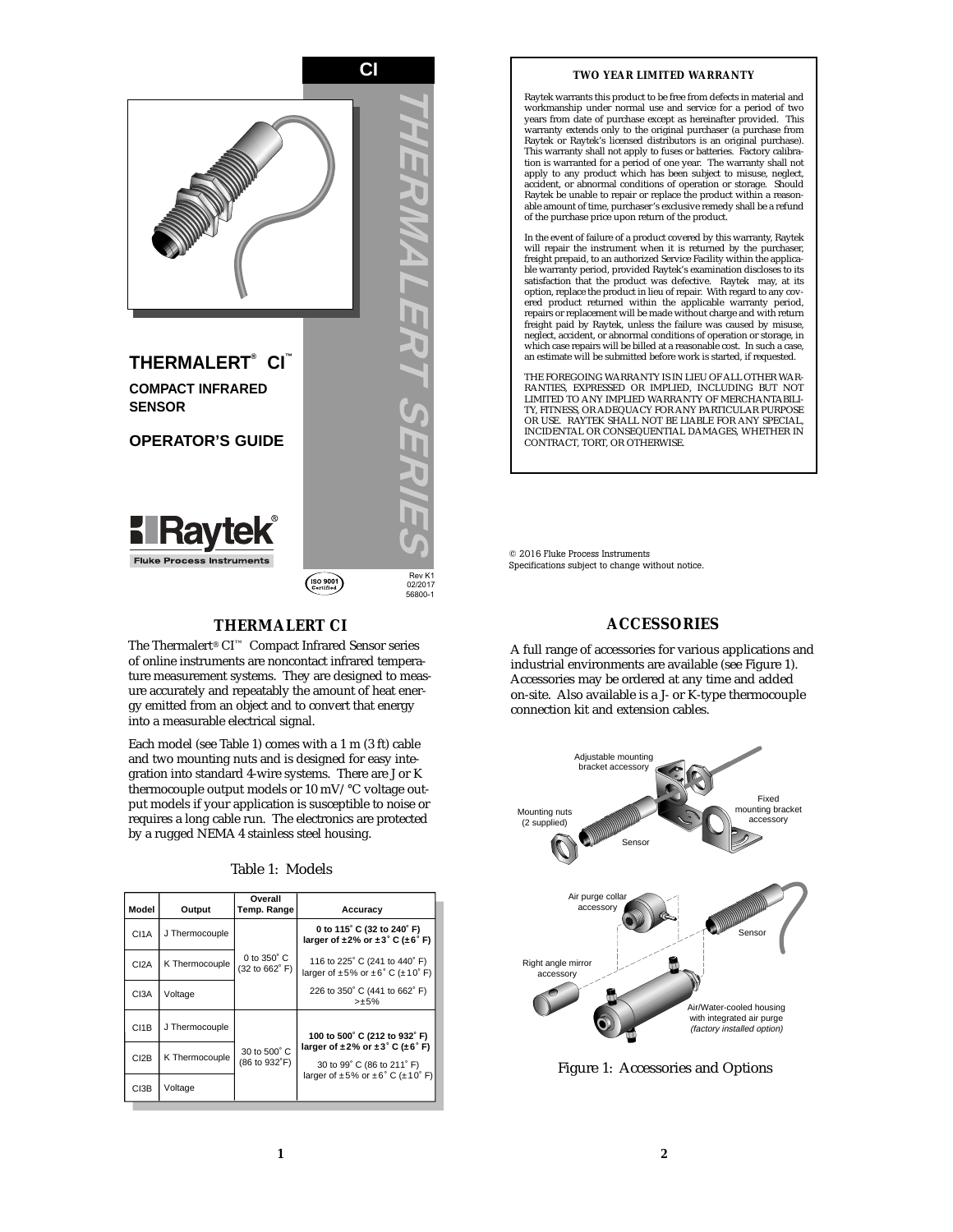

# **THERMALERT CI**

The Thermalert® CI™ Compact Infrared Sensor series of online instruments are noncontact infrared temperature measurement systems. They are designed to measure accurately and repeatably the amount of heat energy emitted from an object and to convert that energy into a measurable electrical signal.

Each model (see Table 1) comes with a 1 m (3 ft) cable and two mounting nuts and is designed for easy integration into standard 4-wire systems. There are J or K thermocouple output models or 10 mV/°C voltage output models if your application is susceptible to noise or requires a long cable run. The electronics are protected by a rugged NEMA 4 stainless steel housing.

| Model                         | Output         | Overall<br>Temp. Range              | Accuracy                                                                                      |
|-------------------------------|----------------|-------------------------------------|-----------------------------------------------------------------------------------------------|
| CI <sub>1</sub> A             | J Thermocouple |                                     | 0 to 115° C (32 to 240° F)<br>larger of $\pm 2\%$ or $\pm 3\degree$ C ( $\pm 6\degree$ F)     |
| CI <sub>2</sub> A             | K Thermocouple | 0 to $350^\circ$ C<br>(32 to 662°F) | 116 to 225° C (241 to 440° F)<br>larger of $\pm 5\%$ or $\pm 6\degree$ C ( $\pm 10\degree$ F) |
| C <sub>13</sub> A             | Voltage        |                                     | 226 to 350° C (441 to 662° F)<br>>15%                                                         |
| C <sub>1</sub> 1 <sub>B</sub> | J Thermocouple |                                     | 100 to 500° C (212 to 932° F)                                                                 |
| CI <sub>2</sub> B             | K Thermocouple | 30 to 500° C<br>(86 to 932°F)       | larger of $\pm 2\%$ or $\pm 3\degree$ C ( $\pm 6\degree$ F)<br>30 to 99° C (86 to 211° F)     |
| C <sub>13</sub> B             | Voltage        |                                     | larger of $\pm 5\%$ or $\pm 6\degree$ C ( $\pm 10\degree$ F)                                  |

Table 1: Models

#### **TWO YEAR LIMITED WARRANTY**

Raytek warrants this product to be free from defects in material and workmanship under normal use and service for a period of two years from date of purchase except as hereinafter provided. This warranty extends only to the original purchaser (a purchase from Raytek or Raytek's licensed distributors is an original purchase). This warranty shall not apply to fuses or batteries. Factory calibration is warranted for a period of one year. The warranty shall not apply to any product which has been subject to misuse, neglect, accident, or abnormal conditions of operation or storage. Should Raytek be unable to repair or replace the product within a reasonable amount of time, purchaser's exclusive remedy shall be a refund of the purchase price upon return of the product.

In the event of failure of a product covered by this warranty, Raytek will repair the instrument when it is returned by the purchaser, freight prepaid, to an authorized Service Facility within the applicable warranty period, provided Raytek's examination discloses to its satisfaction that the product was defective. Raytek may, at its option, replace the product in lieu of repair. With regard to any covered product returned within the applicable warranty period, repairs or replacement will be made without charge and with return freight paid by Raytek, unless the failure was caused by misuse, neglect, accident, or abnormal conditions of operation or storage, in which case repairs will be billed at a reasonable cost. In such a case, an estimate will be submitted before work is started, if requested.

THE FOREGOING WARRANTY IS IN LIEU OF ALL OTHER WAR-RANTIES, EXPRESSED OR IMPLIED, INCLUDING BUT NOT LIMITED TO ANY IMPLIED WARRANTY OF MERCHANTABILI-TY, FITNESS, OR ADEQUACY FOR ANY PARTICULAR PURPOSE OR USE. RAYTEK SHALL NOT BE LIABLE FOR ANY SPECIAL, INCIDENTAL OR CONSEQUENTIAL DAMAGES, WHETHER IN CONTRACT, TORT, OR OTHERWISE.

© 2016 Fluke Process Instruments Specifications subject to change without notice.

## **ACCESSORIES**

A full range of accessories for various applications and industrial environments are available (see Figure 1). Accessories may be ordered at any time and added on-site. Also available is a J- or K-type thermocouple connection kit and extension cables.



Figure 1: Accessories and Options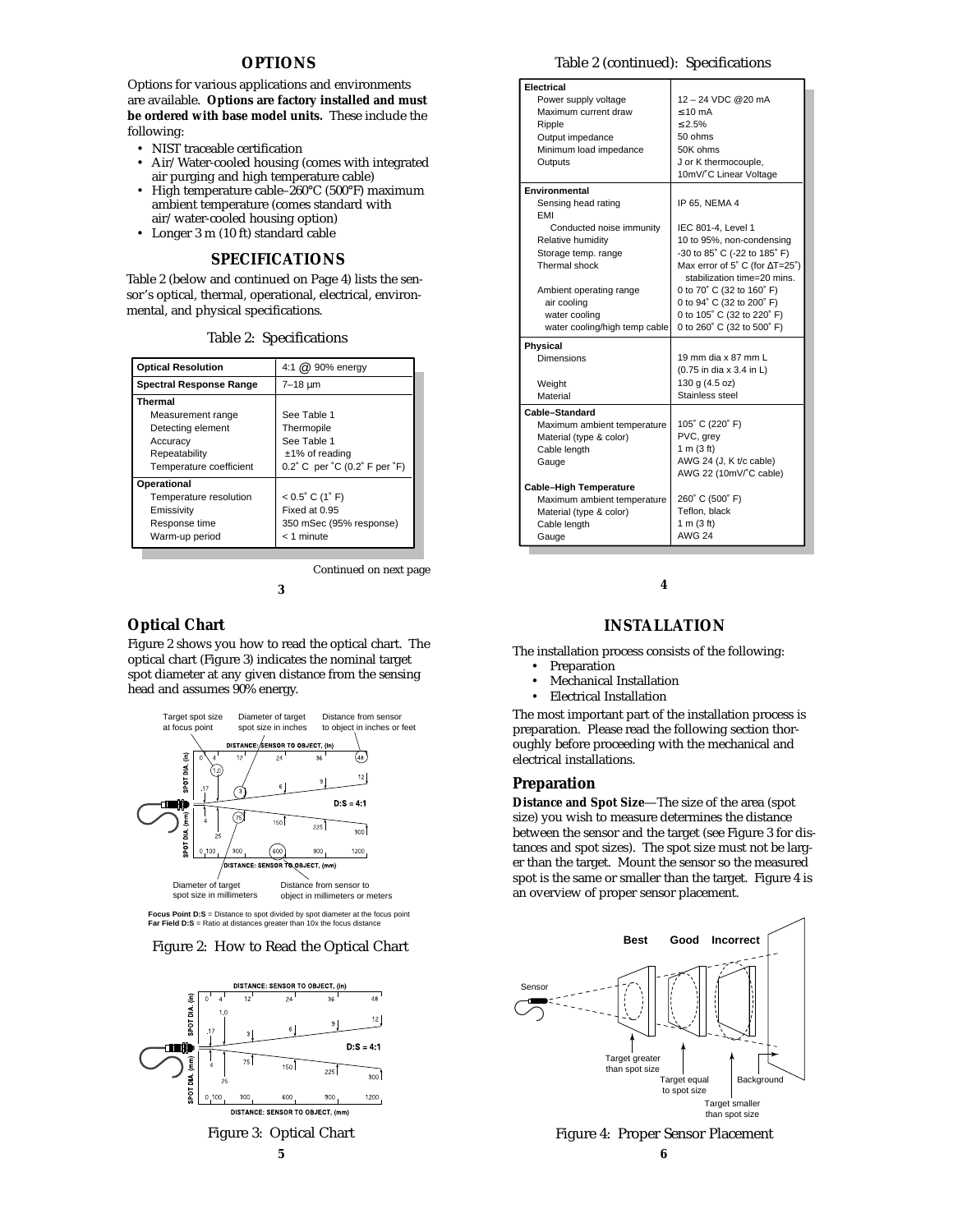### **OPTIONS**

Options for various applications and environments are available. **Options are factory installed and must be ordered with base model units.** These include the following:

- NIST traceable certification
- Air/Water-cooled housing (comes with integrated air purging and high temperature cable)
- High temperature cable–260°C (500°F) maximum ambient temperature (comes standard with air/water-cooled housing option)
- Longer 3 m (10 ft) standard cable

### **SPECIFICATIONS**

Table 2 (below and continued on Page 4) lists the sensor's optical, thermal, operational, electrical, environmental, and physical specifications.

| <b>Optical Resolution</b>      | 4:1 $(2)$ 90% energy                                                 |
|--------------------------------|----------------------------------------------------------------------|
| <b>Spectral Response Range</b> | $7 - 18 \mu m$                                                       |
| Thermal                        |                                                                      |
| Measurement range              | See Table 1                                                          |
| Detecting element              | Thermopile                                                           |
| Accuracy                       | See Table 1                                                          |
| Repeatability                  | $±1\%$ of reading                                                    |
| Temperature coefficient        | $0.2^{\circ}$ C per $^{\circ}$ C (0.2 $^{\circ}$ F per $^{\circ}$ F) |
| Operational                    |                                                                      |
| Temperature resolution         | $< 0.5$ °C (1°F)                                                     |
| Emissivity                     | Fixed at 0.95                                                        |
| Response time                  | 350 mSec (95% response)                                              |
| Warm-up period                 | < 1 minute                                                           |

#### Table 2: Specifications

Continued on next page

**3**

# **Optical Chart**

Figure 2 shows you how to read the optical chart. The optical chart (Figure 3) indicates the nominal target spot diameter at any given distance from the sensing head and assumes 90% energy.



**Focus Point D:S** = Distance to spot divided by spot diameter at the focus point **Far Field D:S** = Ratio at distances greater than 10x the focus distance

### Figure 2: How to Read the Optical Chart



#### Table 2 (continued): Specifications

| Electrical                    |                                                |  |
|-------------------------------|------------------------------------------------|--|
| Power supply voltage          | 12 - 24 VDC @ 20 mA                            |  |
| Maximum current draw          | $< 10 \text{ mA}$                              |  |
| Ripple                        | $< 2.5\%$                                      |  |
| Output impedance              | 50 ohms                                        |  |
| Minimum load impedance        | 50K ohms                                       |  |
| Outputs                       | J or K thermocouple,                           |  |
|                               | 10mV/°C Linear Voltage                         |  |
| Environmental                 |                                                |  |
| Sensing head rating           | IP 65, NEMA 4                                  |  |
| <b>FMI</b>                    |                                                |  |
| Conducted noise immunity      | IEC 801-4, Level 1                             |  |
| Relative humidity             | 10 to 95%, non-condensing                      |  |
| Storage temp. range           | -30 to 85° C (-22 to 185° F)                   |  |
| Thermal shock                 | Max error of 5° C (for $\Delta T = 25^\circ$ ) |  |
|                               | stabilization time=20 mins.                    |  |
| Ambient operating range       | 0 to 70° C (32 to 160° F)                      |  |
| air cooling                   | 0 to 94° C (32 to 200° F)                      |  |
| water cooling                 | 0 to 105° C (32 to 220° F)                     |  |
| water cooling/high temp cable | 0 to 260° C (32 to 500° F)                     |  |
|                               |                                                |  |
| Physical                      | 19 mm dia x 87 mm L                            |  |
| <b>Dimensions</b>             |                                                |  |
|                               | (0.75 in dia x 3.4 in L)                       |  |
| Weight                        | 130 g (4.5 oz)                                 |  |
| Material                      | Stainless steel                                |  |
| Cable-Standard                |                                                |  |
| Maximum ambient temperature   | 105° C (220° F)                                |  |
| Material (type & color)       | PVC, grey                                      |  |
| Cable length                  | 1 m $(3 ft)$                                   |  |
| Gauge                         | AWG 24 (J, K t/c cable)                        |  |
|                               | AWG 22 (10mV/°C cable)                         |  |
| <b>Cable-High Temperature</b> |                                                |  |
| Maximum ambient temperature   | 260°C (500°F)                                  |  |
| Material (type & color)       | Teflon, black                                  |  |
| Cable length                  | 1 m $(3 ft)$                                   |  |
| Gauge                         | <b>AWG 24</b>                                  |  |

# **4**

## **INSTALLATION**

The installation process consists of the following:

- Preparation
- Mechanical Installation
- Electrical Installation

The most important part of the installation process is preparation. Please read the following section thoroughly before proceeding with the mechanical and electrical installations.

### **Preparation**

**Distance and Spot Size**—The size of the area (spot size) you wish to measure determines the distance between the sensor and the target (see Figure 3 for distances and spot sizes). The spot size must not be larger than the target. Mount the sensor so the measured spot is the same or smaller than the target. Figure 4 is an overview of proper sensor placement.

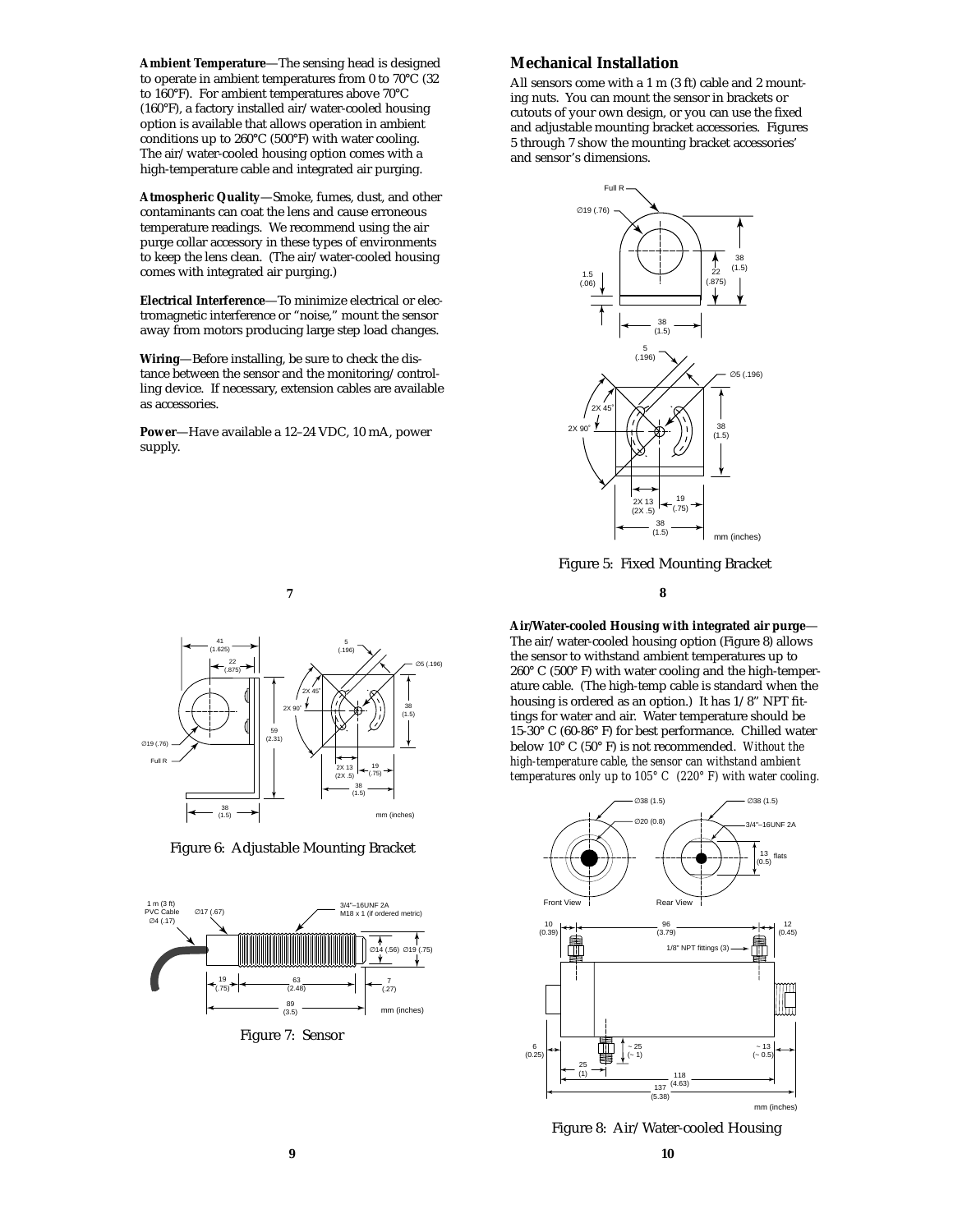**Ambient Temperature**—The sensing head is designed to operate in ambient temperatures from 0 to 70°C (32 to 160°F). For ambient temperatures above 70°C (160°F), a factory installed air/water-cooled housing option is available that allows operation in ambient conditions up to 260°C (500°F) with water cooling. The air/water-cooled housing option comes with a high-temperature cable and integrated air purging.

**Atmospheric Quality**—Smoke, fumes, dust, and other contaminants can coat the lens and cause erroneous temperature readings. We recommend using the air purge collar accessory in these types of environments to keep the lens clean. (The air/water-cooled housing comes with integrated air purging.)

**Electrical Interference**—To minimize electrical or electromagnetic interference or "noise," mount the sensor away from motors producing large step load changes.

**Wiring**—Before installing, be sure to check the distance between the sensor and the monitoring/controlling device. If necessary, extension cables are available as accessories.

**Power**—Have available a 12–24 VDC, 10 mA, power supply.

#### 41 (1.625) 22 (.875) 38 (1.5) 2X 13 (2X .5) 5 (.196) 2X 90˚ 2X 45˚ 19 (.75) 38 (1.5) 59 (2.31) <sup>∅</sup>19 (.76) ∅5 (.196) Full R mm (inches) 38 (1.5)

Figure 6: Adjustable Mounting Bracket



Figure 7: Sensor

### **Mechanical Installation**

All sensors come with a 1 m (3 ft) cable and 2 mounting nuts. You can mount the sensor in brackets or cutouts of your own design, or you can use the fixed and adjustable mounting bracket accessories. Figures 5 through 7 show the mounting bracket accessories' and sensor's dimensions.



Figure 5: Fixed Mounting Bracket

**7 8**

**Air/Water-cooled Housing with integrated air purge**— The air/water-cooled housing option (Figure 8) allows the sensor to withstand ambient temperatures up to 260° C (500° F) with water cooling and the high-temperature cable. (The high-temp cable is standard when the housing is ordered as an option.) It has 1/8" NPT fittings for water and air. Water temperature should be 15-30° C (60-86° F) for best performance. Chilled water below 10° C (50° F) is not recommended. *Without the high-temperature cable, the sensor can withstand ambient temperatures only up to 105° C (220° F) with water cooling.*



Figure 8: Air/Water-cooled Housing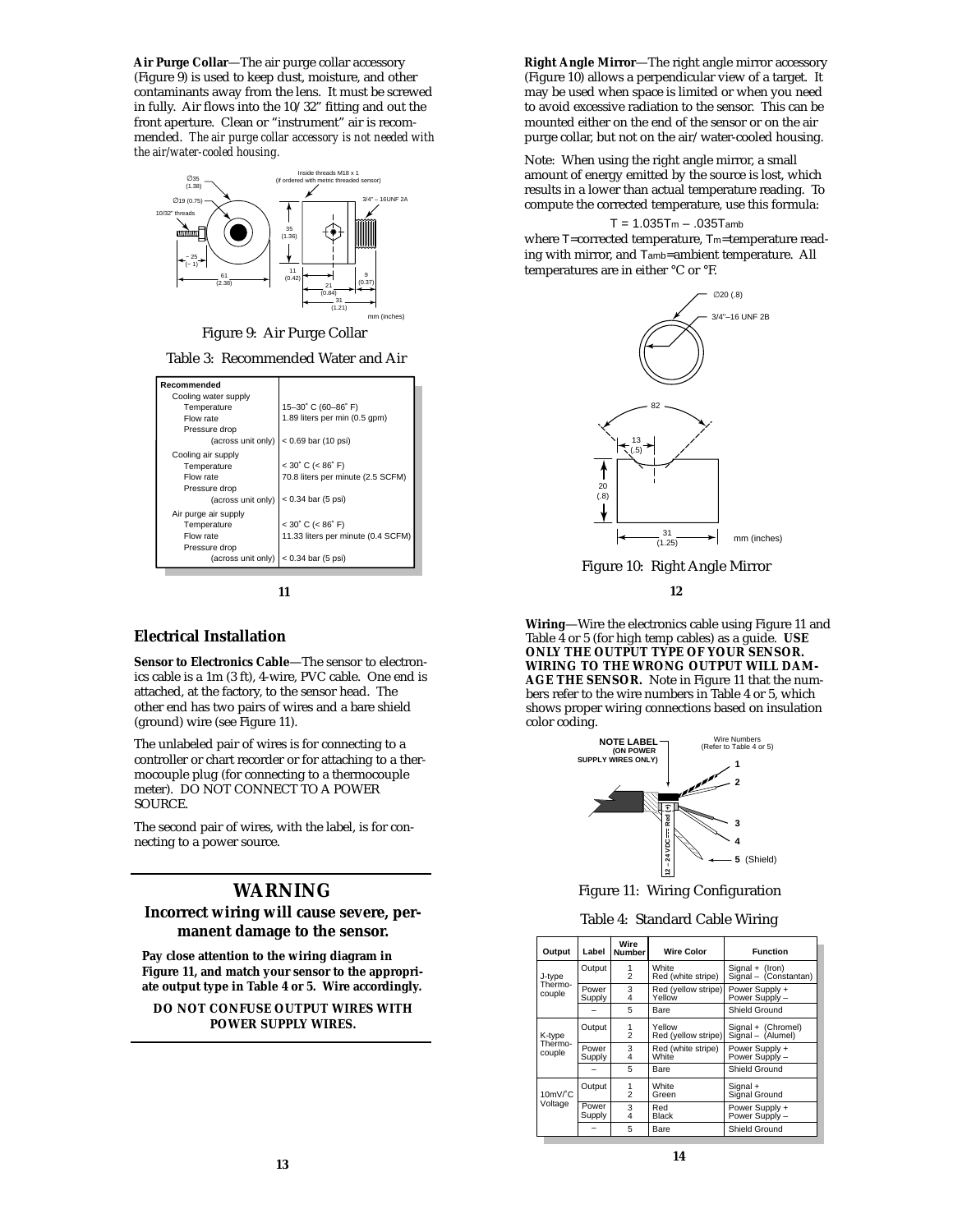**Air Purge Collar**—The air purge collar accessory (Figure 9) is used to keep dust, moisture, and other contaminants away from the lens. It must be screwed in fully. Air flows into the 10/32" fitting and out the front aperture. Clean or "instrument" air is recommended. *The air purge collar accessory is not needed with the air/water-cooled housing.*



Figure 9: Air Purge Collar

Table 3: Recommended Water and Air



**11**

### **Electrical Installation**

**Sensor to Electronics Cable**—The sensor to electronics cable is a 1m (3 ft), 4-wire, PVC cable. One end is attached, at the factory, to the sensor head. The other end has two pairs of wires and a bare shield (ground) wire (see Figure 11).

The unlabeled pair of wires is for connecting to a controller or chart recorder or for attaching to a thermocouple plug (for connecting to a thermocouple meter). DO NOT CONNECT TO A POWER SOURCE.

The second pair of wires, with the label, is for connecting to a power source.

# **WARNING**

### **Incorrect wiring will cause severe, permanent damage to the sensor.**

**Pay close attention to the wiring diagram in Figure 11, and match your sensor to the appropriate output type in Table 4 or 5. Wire accordingly.**

**DO NOT CONFUSE OUTPUT WIRES WITH POWER SUPPLY WIRES.**

**Right Angle Mirror**—The right angle mirror accessory (Figure 10) allows a perpendicular view of a target. It may be used when space is limited or when you need to avoid excessive radiation to the sensor. This can be mounted either on the end of the sensor or on the air purge collar, but not on the air/water-cooled housing.

Note: When using the right angle mirror, a small amount of energy emitted by the source is lost, which results in a lower than actual temperature reading. To compute the corrected temperature, use this formula:

 $T = 1.035T<sub>m</sub> - .035T<sub>amb</sub>$ 

where T=corrected temperature, Tm=temperature reading with mirror, and Tamb=ambient temperature. All temperatures are in either °C or °F.



Figure 10: Right Angle Mirror

**12**

**Wiring**—Wire the electronics cable using Figure 11 and Table 4 or 5 (for high temp cables) as a guide. **USE ONLY THE OUTPUT TYPE OF YOUR SENSOR. WIRING TO THE WRONG OUTPUT WILL DAM-AGE THE SENSOR.** Note in Figure 11 that the numbers refer to the wire numbers in Table 4 or 5, which shows proper wiring connections based on insulation color coding.



Figure 11: Wiring Configuration

|  | Table 4: Standard Cable Wiring |  |  |
|--|--------------------------------|--|--|
|--|--------------------------------|--|--|

| Output                                      | Label           | Wire<br><b>Number</b> | <b>Wire Color</b>             | <b>Function</b>                          |
|---------------------------------------------|-----------------|-----------------------|-------------------------------|------------------------------------------|
| J-type                                      | Output          | 1<br>$\overline{2}$   | White<br>Red (white stripe)   | Signal + (Iron)<br>Signal - (Constantan) |
| Thermo-<br>couple                           | Power<br>Supply | 3<br>4                | Red (yellow stripe)<br>Yellow | Power Supply +<br>Power Supply -         |
|                                             |                 | 5                     | Bare                          | Shield Ground                            |
| K-type                                      | Output          | 1<br>$\overline{c}$   | Yellow<br>Red (yellow stripe) | Signal + (Chromel)<br>Signal - (Alumel)  |
| Thermo-<br>couple                           | Power<br>Supply | 3<br>4                | Red (white stripe)<br>White   | Power Supply +<br>Power Supply -         |
|                                             |                 | 5                     | Bare                          | Shield Ground                            |
| $10mV$ <sup><math>c</math></sup><br>Voltage | Output          | $\overline{a}$        | White<br>Green                | Signal +<br>Signal Ground                |
|                                             | Power<br>Supply | 3<br>4                | Red<br><b>Black</b>           | Power Supply +<br>Power Supply -         |
|                                             |                 | 5                     | Bare                          | Shield Ground                            |